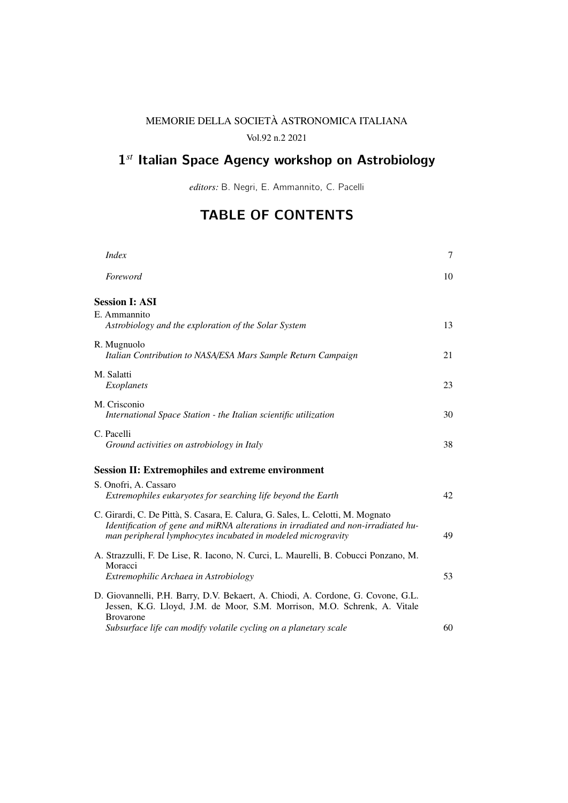## MEMORIE DELLA SOCIETA ASTRONOMICA ITALIANA `

Vol.92 n.2 2021

## $1^{st}$  Italian Space Agency workshop on Astrobiology

*editors:* B. Negri, E. Ammannito, C. Pacelli

## TABLE OF CONTENTS

| <i>Index</i>                                                                                                                                                                                                                         | 7  |
|--------------------------------------------------------------------------------------------------------------------------------------------------------------------------------------------------------------------------------------|----|
| Foreword                                                                                                                                                                                                                             | 10 |
| <b>Session I: ASI</b>                                                                                                                                                                                                                |    |
| E. Ammannito<br>Astrobiology and the exploration of the Solar System                                                                                                                                                                 | 13 |
| R. Mugnuolo<br>Italian Contribution to NASA/ESA Mars Sample Return Campaign                                                                                                                                                          | 21 |
| M. Salatti<br>Exoplanets                                                                                                                                                                                                             | 23 |
| M. Crisconio<br>International Space Station - the Italian scientific utilization                                                                                                                                                     | 30 |
| C. Pacelli<br>Ground activities on astrobiology in Italy                                                                                                                                                                             | 38 |
| <b>Session II: Extremophiles and extreme environment</b>                                                                                                                                                                             |    |
| S. Onofri, A. Cassaro<br>Extremophiles eukaryotes for searching life beyond the Earth                                                                                                                                                | 42 |
| C. Girardi, C. De Pittà, S. Casara, E. Calura, G. Sales, L. Celotti, M. Mognato<br>Identification of gene and miRNA alterations in irradiated and non-irradiated hu-<br>man peripheral lymphocytes incubated in modeled microgravity | 49 |
| A. Strazzulli, F. De Lise, R. Iacono, N. Curci, L. Maurelli, B. Cobucci Ponzano, M.<br>Moracci<br>Extremophilic Archaea in Astrobiology                                                                                              | 53 |
| D. Giovannelli, P.H. Barry, D.V. Bekaert, A. Chiodi, A. Cordone, G. Covone, G.L.<br>Jessen, K.G. Lloyd, J.M. de Moor, S.M. Morrison, M.O. Schrenk, A. Vitale<br><b>Brovarone</b>                                                     |    |
| Subsurface life can modify volatile cycling on a planetary scale                                                                                                                                                                     | 60 |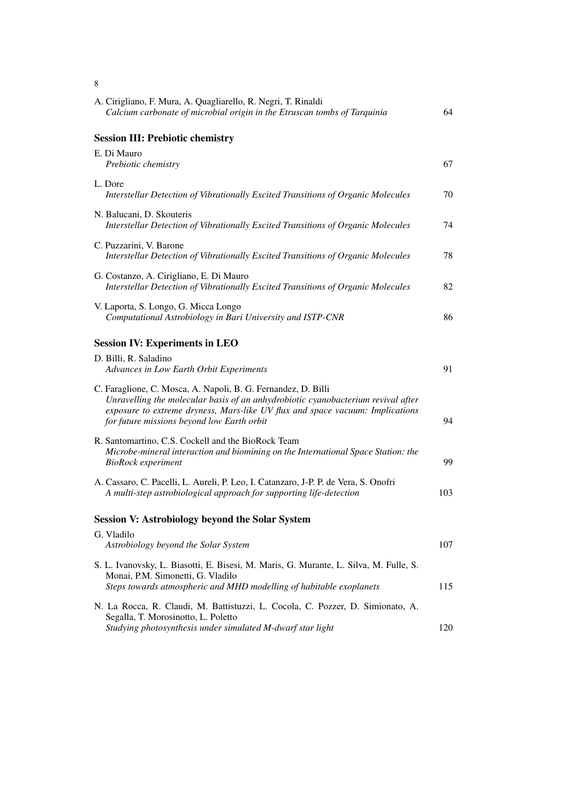| A. Cirigliano, F. Mura, A. Quagliarello, R. Negri, T. Rinaldi<br>Calcium carbonate of microbial origin in the Etruscan tombs of Tarquinia                                                                                                                                        | 64  |
|----------------------------------------------------------------------------------------------------------------------------------------------------------------------------------------------------------------------------------------------------------------------------------|-----|
| <b>Session III: Prebiotic chemistry</b>                                                                                                                                                                                                                                          |     |
| E. Di Mauro<br>Prebiotic chemistry                                                                                                                                                                                                                                               | 67  |
| L. Dore<br>Interstellar Detection of Vibrationally Excited Transitions of Organic Molecules                                                                                                                                                                                      | 70  |
| N. Balucani, D. Skouteris<br>Interstellar Detection of Vibrationally Excited Transitions of Organic Molecules                                                                                                                                                                    | 74  |
| C. Puzzarini, V. Barone<br>Interstellar Detection of Vibrationally Excited Transitions of Organic Molecules                                                                                                                                                                      | 78  |
| G. Costanzo, A. Cirigliano, E. Di Mauro<br>Interstellar Detection of Vibrationally Excited Transitions of Organic Molecules                                                                                                                                                      | 82  |
| V. Laporta, S. Longo, G. Micca Longo<br>Computational Astrobiology in Bari University and ISTP-CNR                                                                                                                                                                               | 86  |
| <b>Session IV: Experiments in LEO</b>                                                                                                                                                                                                                                            |     |
| D. Billi, R. Saladino<br>Advances in Low Earth Orbit Experiments                                                                                                                                                                                                                 | 91  |
| C. Faraglione, C. Mosca, A. Napoli, B. G. Fernandez, D. Billi<br>Unravelling the molecular basis of an anhydrobiotic cyanobacterium revival after<br>exposure to extreme dryness, Mars-like UV flux and space vacuum: Implications<br>for future missions beyond low Earth orbit | 94  |
| R. Santomartino, C.S. Cockell and the BioRock Team<br>Microbe-mineral interaction and biomining on the International Space Station: the<br><b>BioRock</b> experiment                                                                                                             | 99  |
| A. Cassaro, C. Pacelli, L. Aureli, P. Leo, I. Catanzaro, J-P. P. de Vera, S. Onofri<br>A multi-step astrobiological approach for supporting life-detection                                                                                                                       | 103 |
| <b>Session V: Astrobiology beyond the Solar System</b>                                                                                                                                                                                                                           |     |
| G. Vladilo<br>Astrobiology beyond the Solar System                                                                                                                                                                                                                               | 107 |
| S. L. Ivanovsky, L. Biasotti, E. Bisesi, M. Maris, G. Murante, L. Silva, M. Fulle, S.<br>Monai, P.M. Simonetti, G. Vladilo<br>Steps towards atmospheric and MHD modelling of habitable exoplanets                                                                                | 115 |
| N. La Rocca, R. Claudi, M. Battistuzzi, L. Cocola, C. Pozzer, D. Simionato, A.<br>Segalla, T. Morosinotto, L. Poletto<br>Studying photosynthesis under simulated M-dwarf star light                                                                                              | 120 |

8